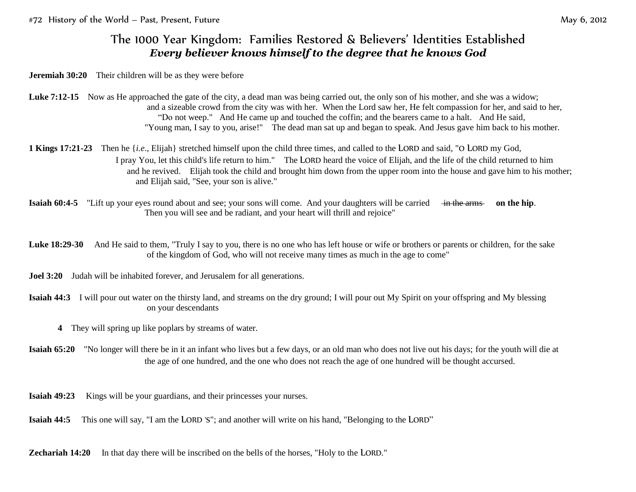## The 1000 Year Kingdom: Families Restored & Believers' Identities Established *Every believer knows himself to the degree that he knows God*

**Jeremiah 30:20** Their children will be as they were before

- Luke 7:12-15 Now as He approached the gate of the city, a dead man was being carried out, the only son of his mother, and she was a widow; and a sizeable crowd from the city was with her. When the Lord saw her, He felt compassion for her, and said to her, "Do not weep." And He came up and touched the coffin; and the bearers came to a halt. And He said, "Young man, I say to you, arise!" The dead man sat up and began to speak. And Jesus gave him back to his mother.
- **1 Kings 17:21-23** Then he {*i.e*., Elijah} stretched himself upon the child three times, and called to the LORD and said, "O LORD my God, I pray You, let this child's life return to him." The LORD heard the voice of Elijah, and the life of the child returned to him and he revived. Elijah took the child and brought him down from the upper room into the house and gave him to his mother; and Elijah said, "See, your son is alive."
- **Isaiah 60:4-5** "Lift up your eyes round about and see; your sons will come. And your daughters will be carried in the arms on the hip. Then you will see and be radiant, and your heart will thrill and rejoice"

Luke 18:29-30 And He said to them, "Truly I say to you, there is no one who has left house or wife or brothers or parents or children, for the sake of the kingdom of God, who will not receive many times as much in the age to come"

**Joel 3:20** Judah will be inhabited forever, and Jerusalem for all generations.

**Isaiah 44:3** I will pour out water on the thirsty land, and streams on the dry ground; I will pour out My Spirit on your offspring and My blessing on your descendants

**4** They will spring up like poplars by streams of water.

**Isaiah 65:20** "No longer will there be in it an infant who lives but a few days, or an old man who does not live out his days; for the youth will die at the age of one hundred, and the one who does not reach the age of one hundred will be thought accursed.

**Isaiah 49:23** Kings will be your guardians, and their princesses your nurses.

**Isaiah 44:5** This one will say, "I am the LORD 'S"; and another will write on his hand, "Belonging to the LORD"

**Zechariah 14:20** In that day there will be inscribed on the bells of the horses, "Holy to the LORD."